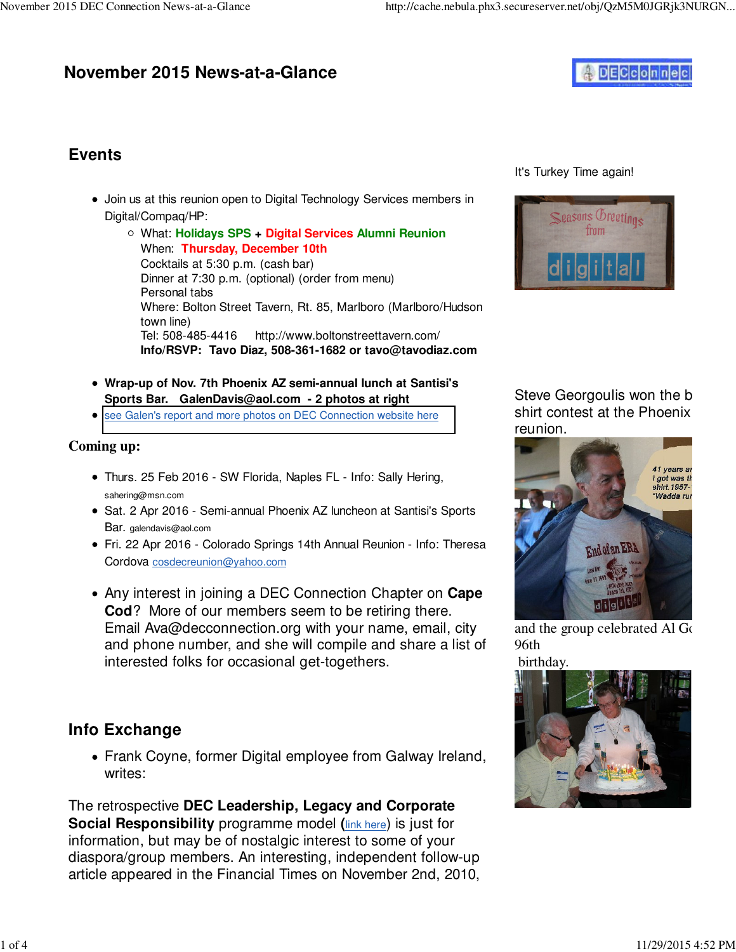# **November 2015 News-at-a-Glance**



## **Events**

- Join us at this reunion open to Digital Technology Services members in Digital/Compaq/HP:
	- What: **Holidays SPS + Digital Services Alumni Reunion** When: **Thursday, December 10th** Cocktails at 5:30 p.m. (cash bar) Dinner at 7:30 p.m. (optional) (order from menu) Personal tabs Where: Bolton Street Tavern, Rt. 85, Marlboro (Marlboro/Hudson town line) Tel: 508-485-4416 [http://www.boltonstreettavern.com/](http://www.boltonstreettavern.com) **Info/RSVP: Tavo Diaz, 508-361-1682 or [tavo@tavodiaz.com](mailto:tavo@tavodiaz.com)**
- **Wrap-up of Nov. 7th Phoenix AZ semi-annual lunch at Santisi's Sports Bar. [GalenDavis@aol.com -](mailto:GalenDavis@aol.com) 2 photos at right**
- **•** [see Galen's report and more photos on DEC Connection website here](http://www.decconnection.org/arizona.htm)

### **Coming up:**

- Thurs. 25 Feb 2016 SW Florida, Naples FL Info: Sally Hering, [sahering@msn.com](mailto:sahering@msn.com)
- Sat. 2 Apr 2016 Semi-annual Phoenix AZ luncheon at Santisi's Sports Bar. [galendavis@aol.com](mailto:galendavis@aol.com)
- Fri. 22 Apr 2016 Colorado Springs 14th Annual Reunion Info: Theresa Cordova [cosdecreunion@yahoo.com](mailto:cosdecreunion@yahoo.com)
- Any interest in joining a DEC Connection Chapter on **Cape Cod**? More of our members seem to be retiring there. Email [Ava@decconnection.org wi](mailto:Ava@decconnection.org)th your name, email, city and phone number, and she will compile and share a list of interested folks for occasional get-togethers.

## **Info Exchange**

Frank Coyne, former Digital employee from Galway Ireland, writes:

The retrospective **DEC Leadership, Legacy and Corporate Social Responsibility** programme model **(**link here) is just for information, but may be of nostalgic interest to some of your diaspora/group members. An interesting, independent follow-up article appeared in the Financial Times on November 2nd, 2010,

It's Turkey Time again!



Steve Georgoulis won the b shirt contest at the Phoenix reunion.



and the group celebrated Al Gordon 96th



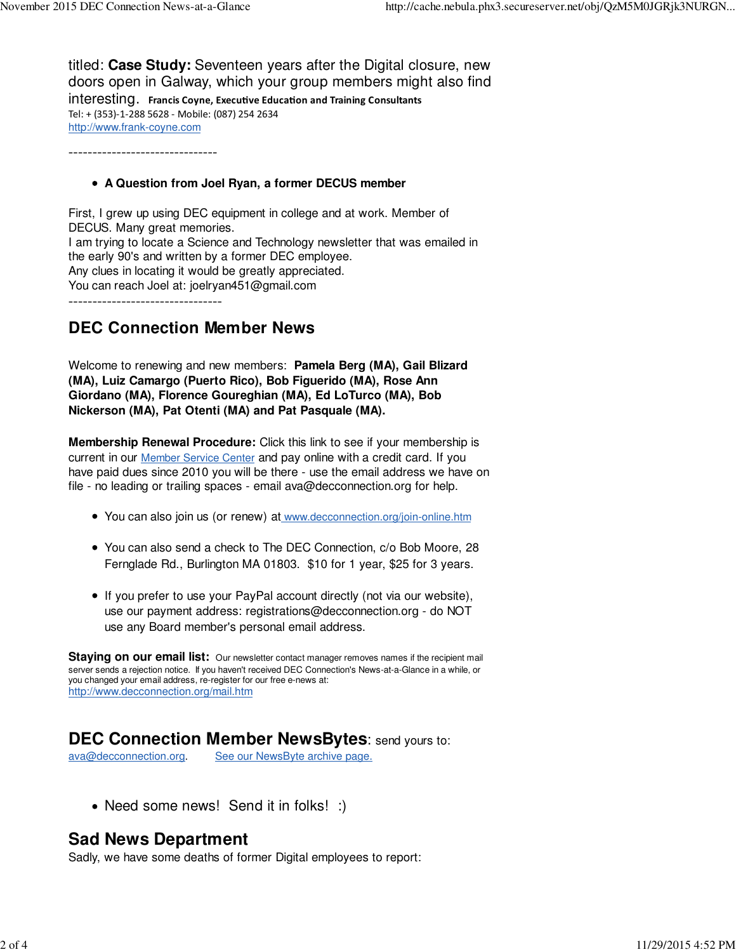titled: **Case Study:** Seventeen years after the Digital closure, new doors open in Galway, which your group members might also find interesting. Francis Coyne, Executive Education and Training Consultants Tel: + (353)‐1‐288 5628 ‐ Mobile: (087) 254 2634 <http://www.frank-coyne.com>

-------------------------------

#### **A Question from Joel Ryan, a former DECUS member**

First, I grew up using DEC equipment in college and at work. Member of DECUS. Many great memories. I am trying to locate a Science and Technology newsletter that was emailed in the early 90's and written by a former DEC employee. Any clues in locating it would be greatly appreciated. You can reach Joel at: [joelryan451@gmail.com](mailto:joelryan451@gmail.com)

--------------------------------

### **DEC Connection Member News**

Welcome to renewing and new members: **Pamela Berg (MA), Gail Blizard (MA), Luiz Camargo (Puerto Rico), Bob Figuerido (MA), Rose Ann Giordano (MA), Florence Goureghian (MA), Ed LoTurco (MA), Bob Nickerson (MA), Pat Otenti (MA) and Pat Pasquale (MA).**

**Membership Renewal Procedure:** Click this link to see if your membership is current in our Member Service Center and pay online with a credit card. If you have paid dues since 2010 you will be there - use the email address we have on file - no leading or trailing spaces - email [ava@decconnection.org fo](mailto:ava@decconnection.org)r help.

- You can also join us (or renew) at [www.decconnection.org/join-online.htm](http://www.decconnection.org/join-online.htm)
- You can also send a check to The DEC Connection, c/o Bob Moore, 28 Fernglade Rd., Burlington MA 01803. \$10 for 1 year, \$25 for 3 years.
- If you prefer to use your PayPal account directly (not via our website), use our payment address: [registrations@decconnection.org - d](mailto:registrations@decconnection.org)o NOT use any Board member's personal email address.

**Staying on our email list:** Our newsletter contact manager removes names if the recipient mail server sends a rejection notice. If you haven't received DEC Connection's News-at-a-Glance in a while, or you changed your email address, re-register for our free e-news at: <http://www.decconnection.org/mail.htm>

### **DEC Connection Member NewsBytes**: send yours to:

[ava@decconnection.org](mailto:ava@decconnection.org). See our NewsByte archive page.

• Need some news! Send it in folks! :)

### **Sad News Department**

Sadly, we have some deaths of former Digital employees to report: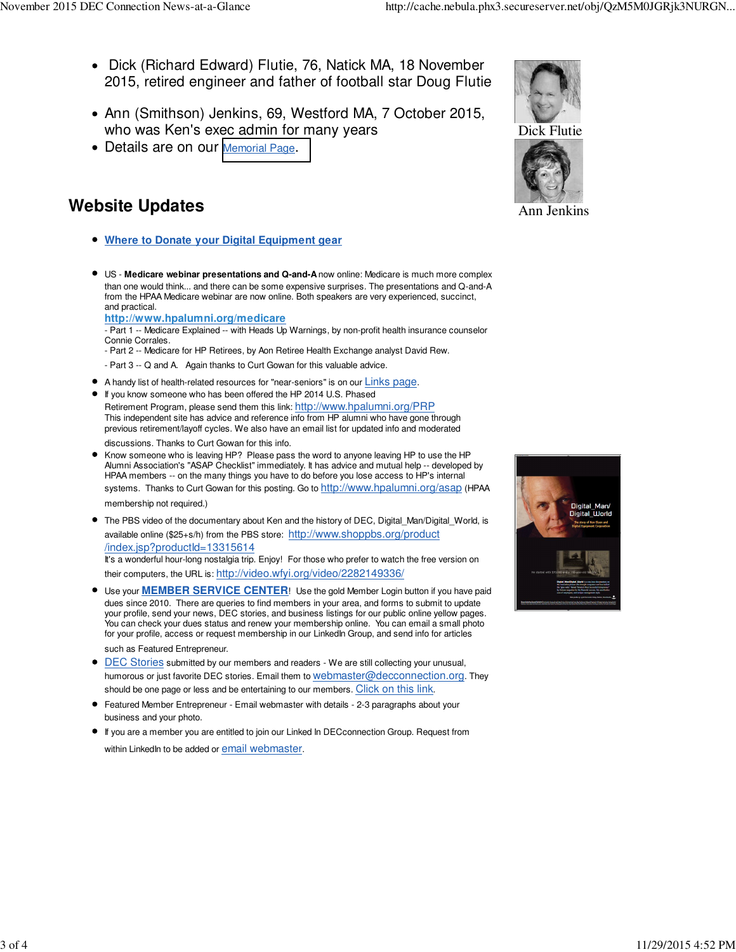- Dick (Richard Edward) Flutie, 76, Natick MA, 18 November 2015, retired engineer and father of football star Doug Flutie
- Ann (Smithson) Jenkins, 69, Westford MA, 7 October 2015, who was Ken's exec admin for many years
- Details are on our [Memorial Page](http://www.decconnection.org/memorials.htm).

## **Website Updates**

- **Where to Donate your Digital Equipment gear**
- US - **Medicare webinar presentations and Q-and-A** now online: Medicare is much more complex than one would think... and there can be some expensive surprises. The presentations and Q-and-A from the HPAA Medicare webinar are now online. Both speakers are very experienced, succinct, and practical.

**<http://www.hpalumni.org/medicare>**

- Part 1 -- Medicare Explained -- with Heads Up Warnings, by non-profit health insurance counselor Connie Corrales.

- Part 2 -- Medicare for HP Retirees, by Aon Retiree Health Exchange analyst David Rew.
- Part 3 -- Q and A. Again thanks to Curt Gowan for this valuable advice.
- A handy list of health-related resources for "near-seniors" is on our Links page.
- If you know someone who has been offered the HP 2014 U.S. Phased Retirement Program, please send them this link: <http://www.hpalumni.org/PRP> This independent site has advice and reference info from HP alumni who have gone through previous retirement/layoff cycles. We also have an email list for updated info and moderated discussions. Thanks to Curt Gowan for this info.
- Know someone who is leaving HP? Please pass the word to anyone leaving HP to use the HP Alumni Association's "ASAP Checklist" immediately. It has advice and mutual help -- developed by HPAA members -- on the many things you have to do before you lose access to HP's internal systems. Thanks to Curt Gowan for this posting. Go to <http://www.hpalumni.org/asap> (HPAA

membership not required.)

The PBS video of the documentary about Ken and the history of DEC, Digital\_Man/Digital\_World, is available online (\$25+s/h) from the PBS store: <http://www.shoppbs.org/product> /index.jsp?productId=13315614

It's a wonderful hour-long nostalgia trip. Enjoy! For those who prefer to watch the free version on their computers, the URL is: [http://video.wfyi.org/video/2282149336/](http://video.wfyi.org/video/2282149336)

- Use your **MEMBER SERVICE CENTER**! Use the gold Member Login button if you have paid dues since 2010. There are queries to find members in your area, and forms to submit to update your profile, send your news, DEC stories, and business listings for our public online yellow pages. You can check your dues status and renew your membership online. You can email a small photo for your profile, access or request membership in our LinkedIn Group, and send info for articles such as Featured Entrepreneur.
- **DEC Stories submitted by our members and readers We are still collecting your unusual,** humorous or just favorite DEC stories. Email them to [webmaster@decconnection.org](mailto:webmaster@decconnection.org). They should be one page or less and be entertaining to our members. Click on this link.
- Featured Member Entrepreneur Email webmaster with details 2-3 paragraphs about your business and your photo.
- If you are a member you are entitled to join our Linked In DECconnection Group. Request from within LinkedIn to be added or email webmaster.





Ann Jenkins